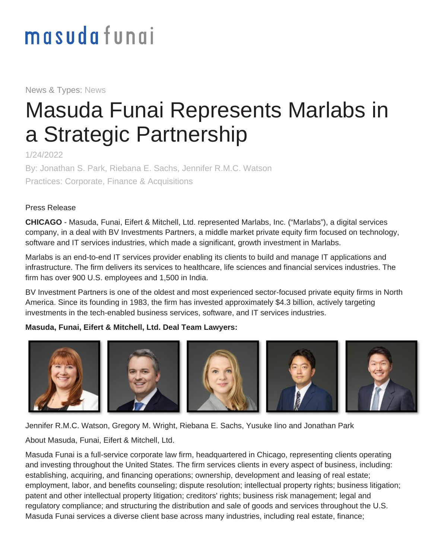# masudafungi

News & Types: News

## Masuda Funai Represents Marlabs in a Strategic Partnership

1/24/2022

By: Jonathan S. Park, Riebana E. Sachs, Jennifer R.M.C. Watson Practices: Corporate, Finance & Acquisitions

#### Press Release

**CHICAGO** - Masuda, Funai, Eifert & Mitchell, Ltd. represented Marlabs, Inc. ("Marlabs"), a digital services company, in a deal with BV Investments Partners, a middle market private equity firm focused on technology, software and IT services industries, which made a significant, growth investment in Marlabs.

Marlabs is an end-to-end IT services provider enabling its clients to build and manage IT applications and infrastructure. The firm delivers its services to healthcare, life sciences and financial services industries. The firm has over 900 U.S. employees and 1,500 in India.

BV Investment Partners is one of the oldest and most experienced sector-focused private equity firms in North America. Since its founding in 1983, the firm has invested approximately \$4.3 billion, actively targeting investments in the tech-enabled business services, software, and IT services industries.

#### **Masuda, Funai, Eifert & Mitchell, Ltd. Deal Team Lawyers:**



[Jennifer R.M.C. Watson,](https://www.masudafunai.com/people/jennifer-watson) [Gregory M. Wright,](https://www.masudafunai.com/people/gregory-wright) [Riebana E. Sachs,](https://www.masudafunai.com/people/riebana-sachs) [Yusuke Iino](https://www.masudafunai.com/people/yusuke-iino) and [Jonathan Park](https://www.masudafunai.com/people/jonathan-park)

About Masuda, Funai, Eifert & Mitchell, Ltd.

Masuda Funai is a full-service corporate law firm, headquartered in Chicago, representing clients operating and investing throughout the United States. The firm services clients in every aspect of business, including: establishing, acquiring, and financing operations; ownership, development and leasing of real estate; employment, labor, and benefits counseling; dispute resolution; intellectual property rights; business litigation; patent and other intellectual property litigation; creditors' rights; business risk management; legal and regulatory compliance; and structuring the distribution and sale of goods and services throughout the U.S. Masuda Funai services a diverse client base across many industries, including real estate, finance;